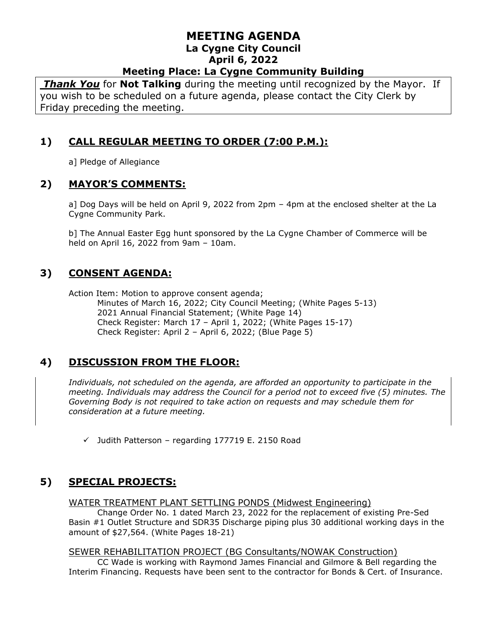*Thank You* for **Not Talking** during the meeting until recognized by the Mayor. If you wish to be scheduled on a future agenda, please contact the City Clerk by Friday preceding the meeting.

# **1) CALL REGULAR MEETING TO ORDER (7:00 P.M.):**

a] Pledge of Allegiance

### **2) MAYOR'S COMMENTS:**

a] Dog Days will be held on April 9, 2022 from 2pm – 4pm at the enclosed shelter at the La Cygne Community Park.

b] The Annual Easter Egg hunt sponsored by the La Cygne Chamber of Commerce will be held on April 16, 2022 from 9am – 10am.

## **3) CONSENT AGENDA:**

Action Item: Motion to approve consent agenda; Minutes of March 16, 2022; City Council Meeting; (White Pages 5-13) 2021 Annual Financial Statement; (White Page 14) Check Register: March 17 – April 1, 2022; (White Pages 15-17) Check Register: April 2 – April 6, 2022; (Blue Page 5)

## **4) DISCUSSION FROM THE FLOOR:**

*Individuals, not scheduled on the agenda, are afforded an opportunity to participate in the meeting. Individuals may address the Council for a period not to exceed five (5) minutes. The Governing Body is not required to take action on requests and may schedule them for consideration at a future meeting.* 

 $\checkmark$  Judith Patterson – regarding 177719 E. 2150 Road

## **5) SPECIAL PROJECTS:**

WATER TREATMENT PLANT SETTLING PONDS (Midwest Engineering)

Change Order No. 1 dated March 23, 2022 for the replacement of existing Pre-Sed Basin #1 Outlet Structure and SDR35 Discharge piping plus 30 additional working days in the amount of \$27,564. (White Pages 18-21)

#### SEWER REHABILITATION PROJECT (BG Consultants/NOWAK Construction)

CC Wade is working with Raymond James Financial and Gilmore & Bell regarding the Interim Financing. Requests have been sent to the contractor for Bonds & Cert. of Insurance.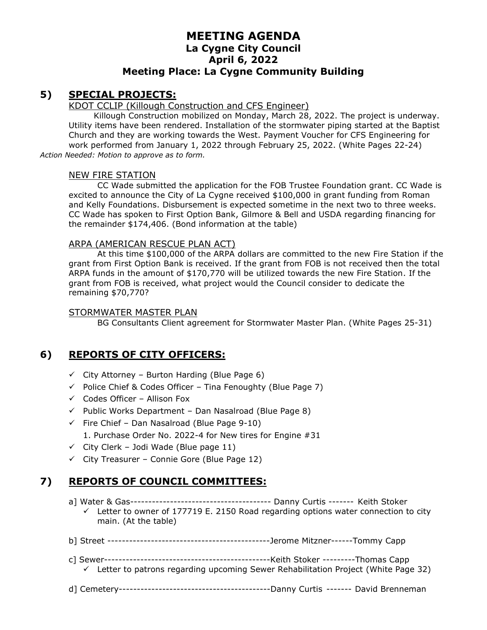#### **5) SPECIAL PROJECTS:**

#### KDOT CCLIP (Killough Construction and CFS Engineer)

Killough Construction mobilized on Monday, March 28, 2022. The project is underway. Utility items have been rendered. Installation of the stormwater piping started at the Baptist Church and they are working towards the West. Payment Voucher for CFS Engineering for work performed from January 1, 2022 through February 25, 2022. (White Pages 22-24) *Action Needed: Motion to approve as to form.*

#### NEW FIRE STATION

CC Wade submitted the application for the FOB Trustee Foundation grant. CC Wade is excited to announce the City of La Cygne received \$100,000 in grant funding from Roman and Kelly Foundations. Disbursement is expected sometime in the next two to three weeks. CC Wade has spoken to First Option Bank, Gilmore & Bell and USDA regarding financing for the remainder \$174,406. (Bond information at the table)

#### ARPA (AMERICAN RESCUE PLAN ACT)

At this time \$100,000 of the ARPA dollars are committed to the new Fire Station if the grant from First Option Bank is received. If the grant from FOB is not received then the total ARPA funds in the amount of \$170,770 will be utilized towards the new Fire Station. If the grant from FOB is received, what project would the Council consider to dedicate the remaining \$70,770?

#### STORMWATER MASTER PLAN

BG Consultants Client agreement for Stormwater Master Plan. (White Pages 25-31)

### **6) REPORTS OF CITY OFFICERS:**

- $\checkmark$  City Attorney Burton Harding (Blue Page 6)
- $\checkmark$  Police Chief & Codes Officer Tina Fenoughty (Blue Page 7)
- $\checkmark$  Codes Officer Allison Fox
- $\checkmark$  Public Works Department Dan Nasalroad (Blue Page 8)
- $\checkmark$  Fire Chief Dan Nasalroad (Blue Page 9-10)
	- 1. Purchase Order No. 2022-4 for New tires for Engine #31
- $\checkmark$  City Clerk Jodi Wade (Blue page 11)
- $\checkmark$  City Treasurer Connie Gore (Blue Page 12)

### **7) REPORTS OF COUNCIL COMMITTEES:**

- a] Water & Gas--------------------------------------- Danny Curtis ------- Keith Stoker
- $\checkmark$  Letter to owner of 177719 E. 2150 Road regarding options water connection to city main. (At the table)
- b] Street ---------------------------------------------Jerome Mitzner------Tommy Capp
- c] Sewer----------------------------------------------Keith Stoker ---------Thomas Capp
- ✓ Letter to patrons regarding upcoming Sewer Rehabilitation Project (White Page 32)
- d] Cemetery------------------------------------------Danny Curtis ------- David Brenneman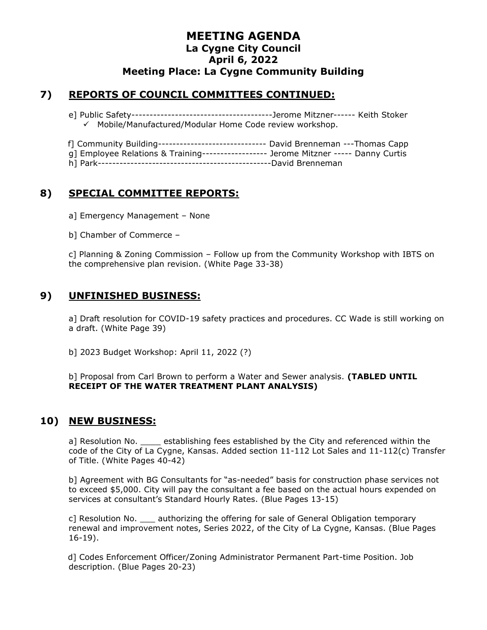## **7) REPORTS OF COUNCIL COMMITTEES CONTINUED:**

e] Public Safety---------------------------------------Jerome Mitzner------ Keith Stoker ✓ Mobile/Manufactured/Modular Home Code review workshop.

- f] Community Building------------------------------ David Brenneman ---Thomas Capp g] Employee Relations & Training------------------ Jerome Mitzner ----- Danny Curtis
- h] Park------------------------------------------------David Brenneman

## **8) SPECIAL COMMITTEE REPORTS:**

a] Emergency Management – None

b] Chamber of Commerce –

c] Planning & Zoning Commission – Follow up from the Community Workshop with IBTS on the comprehensive plan revision. (White Page 33-38)

### **9) UNFINISHED BUSINESS:**

a] Draft resolution for COVID-19 safety practices and procedures. CC Wade is still working on a draft. (White Page 39)

b] 2023 Budget Workshop: April 11, 2022 (?)

b] Proposal from Carl Brown to perform a Water and Sewer analysis. **(TABLED UNTIL RECEIPT OF THE WATER TREATMENT PLANT ANALYSIS)**

#### **10) NEW BUSINESS:**

a] Resolution No. \_\_\_\_\_ establishing fees established by the City and referenced within the code of the City of La Cygne, Kansas. Added section 11-112 Lot Sales and 11-112(c) Transfer of Title. (White Pages 40-42)

b] Agreement with BG Consultants for "as-needed" basis for construction phase services not to exceed \$5,000. City will pay the consultant a fee based on the actual hours expended on services at consultant's Standard Hourly Rates. (Blue Pages 13-15)

c] Resolution No. \_\_\_ authorizing the offering for sale of General Obligation temporary renewal and improvement notes, Series 2022, of the City of La Cygne, Kansas. (Blue Pages 16-19).

d] Codes Enforcement Officer/Zoning Administrator Permanent Part-time Position. Job description. (Blue Pages 20-23)